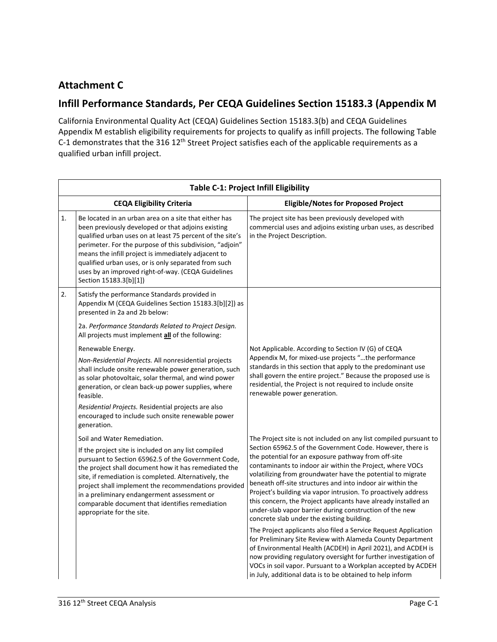## **Attachment C**

## **Infill Performance Standards, Per CEQA Guidelines Section 15183.3 (Appendix M**

California Environmental Quality Act (CEQA) Guidelines Section 15183.3(b) and CEQA Guidelines Appendix M establish eligibility requirements for projects to qualify as infill projects. The following Table C-1 demonstrates that the 316 12<sup>th</sup> Street Project satisfies each of the applicable requirements as a qualified urban infill project.

| <b>Table C-1: Project Infill Eligibility</b> |                                                                                                                                                                                                                                                                                                                                                                                                                                     |                                                                                                                                                                                                                                                                                                                                                                                                                                                                                                                                                         |  |  |
|----------------------------------------------|-------------------------------------------------------------------------------------------------------------------------------------------------------------------------------------------------------------------------------------------------------------------------------------------------------------------------------------------------------------------------------------------------------------------------------------|---------------------------------------------------------------------------------------------------------------------------------------------------------------------------------------------------------------------------------------------------------------------------------------------------------------------------------------------------------------------------------------------------------------------------------------------------------------------------------------------------------------------------------------------------------|--|--|
|                                              | <b>CEQA Eligibility Criteria</b>                                                                                                                                                                                                                                                                                                                                                                                                    | <b>Eligible/Notes for Proposed Project</b>                                                                                                                                                                                                                                                                                                                                                                                                                                                                                                              |  |  |
| 1.                                           | Be located in an urban area on a site that either has<br>been previously developed or that adjoins existing<br>qualified urban uses on at least 75 percent of the site's<br>perimeter. For the purpose of this subdivision, "adjoin"<br>means the infill project is immediately adjacent to<br>qualified urban uses, or is only separated from such<br>uses by an improved right-of-way. (CEQA Guidelines<br>Section 15183.3[b][1]) | The project site has been previously developed with<br>commercial uses and adjoins existing urban uses, as described<br>in the Project Description.                                                                                                                                                                                                                                                                                                                                                                                                     |  |  |
| 2.                                           | Satisfy the performance Standards provided in<br>Appendix M (CEQA Guidelines Section 15183.3[b][2]) as<br>presented in 2a and 2b below:                                                                                                                                                                                                                                                                                             |                                                                                                                                                                                                                                                                                                                                                                                                                                                                                                                                                         |  |  |
|                                              | 2a. Performance Standards Related to Project Design.<br>All projects must implement all of the following:                                                                                                                                                                                                                                                                                                                           |                                                                                                                                                                                                                                                                                                                                                                                                                                                                                                                                                         |  |  |
|                                              | Renewable Energy.                                                                                                                                                                                                                                                                                                                                                                                                                   | Not Applicable. According to Section IV (G) of CEQA                                                                                                                                                                                                                                                                                                                                                                                                                                                                                                     |  |  |
|                                              | Non-Residential Projects. All nonresidential projects<br>shall include onsite renewable power generation, such<br>as solar photovoltaic, solar thermal, and wind power<br>generation, or clean back-up power supplies, where<br>feasible.                                                                                                                                                                                           | Appendix M, for mixed-use projects "the performance<br>standards in this section that apply to the predominant use<br>shall govern the entire project." Because the proposed use is<br>residential, the Project is not required to include onsite<br>renewable power generation.                                                                                                                                                                                                                                                                        |  |  |
|                                              | Residential Projects. Residential projects are also<br>encouraged to include such onsite renewable power<br>generation.                                                                                                                                                                                                                                                                                                             |                                                                                                                                                                                                                                                                                                                                                                                                                                                                                                                                                         |  |  |
|                                              | Soil and Water Remediation.                                                                                                                                                                                                                                                                                                                                                                                                         | The Project site is not included on any list compiled pursuant to                                                                                                                                                                                                                                                                                                                                                                                                                                                                                       |  |  |
|                                              | If the project site is included on any list compiled<br>pursuant to Section 65962.5 of the Government Code,<br>the project shall document how it has remediated the<br>site, if remediation is completed. Alternatively, the<br>project shall implement the recommendations provided<br>in a preliminary endangerment assessment or<br>comparable document that identifies remediation<br>appropriate for the site.                 | Section 65962.5 of the Government Code. However, there is<br>the potential for an exposure pathway from off-site<br>contaminants to indoor air within the Project, where VOCs<br>volatilizing from groundwater have the potential to migrate<br>beneath off-site structures and into indoor air within the<br>Project's building via vapor intrusion. To proactively address<br>this concern, the Project applicants have already installed an<br>under-slab vapor barrier during construction of the new<br>concrete slab under the existing building. |  |  |
|                                              |                                                                                                                                                                                                                                                                                                                                                                                                                                     | The Project applicants also filed a Service Request Application<br>for Preliminary Site Review with Alameda County Department<br>of Environmental Health (ACDEH) in April 2021), and ACDEH is<br>now providing regulatory oversight for further investigation of<br>VOCs in soil vapor. Pursuant to a Workplan accepted by ACDEH<br>in July, additional data is to be obtained to help inform                                                                                                                                                           |  |  |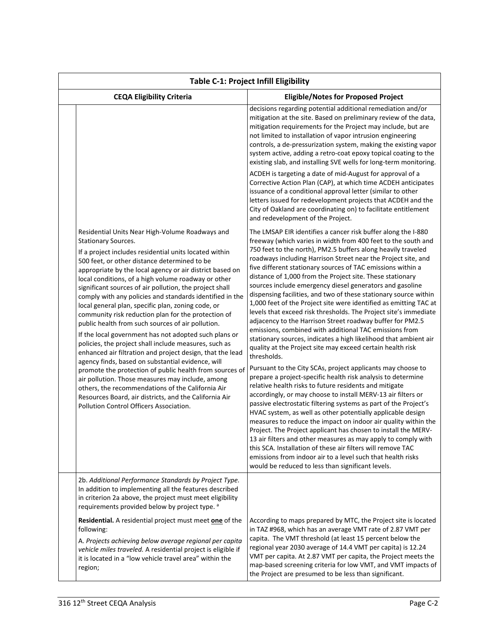| <b>Table C-1: Project Infill Eligibility</b>                                                                                                                                                                                                                                                                                                                                                                                                                                                                                                                                                                                                                                                                                                                                                                                                                                                                                                                                                                                                                                                                     |                                                                                                                                                                                                                                                                                                                                                                                                                                                                                                                                                                                                                                                                                                                                                                                                                                                                                                                                                                                                                                                                                                                                                                                                                                                                                                                                                                                                                                                                                                                                                                                                                                                                                                                                  |  |  |  |
|------------------------------------------------------------------------------------------------------------------------------------------------------------------------------------------------------------------------------------------------------------------------------------------------------------------------------------------------------------------------------------------------------------------------------------------------------------------------------------------------------------------------------------------------------------------------------------------------------------------------------------------------------------------------------------------------------------------------------------------------------------------------------------------------------------------------------------------------------------------------------------------------------------------------------------------------------------------------------------------------------------------------------------------------------------------------------------------------------------------|----------------------------------------------------------------------------------------------------------------------------------------------------------------------------------------------------------------------------------------------------------------------------------------------------------------------------------------------------------------------------------------------------------------------------------------------------------------------------------------------------------------------------------------------------------------------------------------------------------------------------------------------------------------------------------------------------------------------------------------------------------------------------------------------------------------------------------------------------------------------------------------------------------------------------------------------------------------------------------------------------------------------------------------------------------------------------------------------------------------------------------------------------------------------------------------------------------------------------------------------------------------------------------------------------------------------------------------------------------------------------------------------------------------------------------------------------------------------------------------------------------------------------------------------------------------------------------------------------------------------------------------------------------------------------------------------------------------------------------|--|--|--|
| <b>CEQA Eligibility Criteria</b>                                                                                                                                                                                                                                                                                                                                                                                                                                                                                                                                                                                                                                                                                                                                                                                                                                                                                                                                                                                                                                                                                 | <b>Eligible/Notes for Proposed Project</b>                                                                                                                                                                                                                                                                                                                                                                                                                                                                                                                                                                                                                                                                                                                                                                                                                                                                                                                                                                                                                                                                                                                                                                                                                                                                                                                                                                                                                                                                                                                                                                                                                                                                                       |  |  |  |
|                                                                                                                                                                                                                                                                                                                                                                                                                                                                                                                                                                                                                                                                                                                                                                                                                                                                                                                                                                                                                                                                                                                  | decisions regarding potential additional remediation and/or<br>mitigation at the site. Based on preliminary review of the data,<br>mitigation requirements for the Project may include, but are<br>not limited to installation of vapor intrusion engineering<br>controls, a de-pressurization system, making the existing vapor<br>system active, adding a retro-coat epoxy topical coating to the<br>existing slab, and installing SVE wells for long-term monitoring.<br>ACDEH is targeting a date of mid-August for approval of a<br>Corrective Action Plan (CAP), at which time ACDEH anticipates<br>issuance of a conditional approval letter (similar to other<br>letters issued for redevelopment projects that ACDEH and the<br>City of Oakland are coordinating on) to facilitate entitlement<br>and redevelopment of the Project.                                                                                                                                                                                                                                                                                                                                                                                                                                                                                                                                                                                                                                                                                                                                                                                                                                                                                     |  |  |  |
| Residential Units Near High-Volume Roadways and<br><b>Stationary Sources.</b><br>If a project includes residential units located within<br>500 feet, or other distance determined to be<br>appropriate by the local agency or air district based on<br>local conditions, of a high volume roadway or other<br>significant sources of air pollution, the project shall<br>comply with any policies and standards identified in the<br>local general plan, specific plan, zoning code, or<br>community risk reduction plan for the protection of<br>public health from such sources of air pollution.<br>If the local government has not adopted such plans or<br>policies, the project shall include measures, such as<br>enhanced air filtration and project design, that the lead<br>agency finds, based on substantial evidence, will<br>promote the protection of public health from sources of<br>air pollution. Those measures may include, among<br>others, the recommendations of the California Air<br>Resources Board, air districts, and the California Air<br>Pollution Control Officers Association. | The LMSAP EIR identifies a cancer risk buffer along the I-880<br>freeway (which varies in width from 400 feet to the south and<br>750 feet to the north), PM2.5 buffers along heavily traveled<br>roadways including Harrison Street near the Project site, and<br>five different stationary sources of TAC emissions within a<br>distance of 1,000 from the Project site. These stationary<br>sources include emergency diesel generators and gasoline<br>dispensing facilities, and two of these stationary source within<br>1,000 feet of the Project site were identified as emitting TAC at<br>levels that exceed risk thresholds. The Project site's immediate<br>adjacency to the Harrison Street roadway buffer for PM2.5<br>emissions, combined with additional TAC emissions from<br>stationary sources, indicates a high likelihood that ambient air<br>quality at the Project site may exceed certain health risk<br>thresholds.<br>Pursuant to the City SCAs, project applicants may choose to<br>prepare a project-specific health risk analysis to determine<br>relative health risks to future residents and mitigate<br>accordingly, or may choose to install MERV-13 air filters or<br>passive electrostatic filtering systems as part of the Project's<br>HVAC system, as well as other potentially applicable design<br>measures to reduce the impact on indoor air quality within the<br>Project. The Project applicant has chosen to install the MERV-<br>13 air filters and other measures as may apply to comply with<br>this SCA. Installation of these air filters will remove TAC<br>emissions from indoor air to a level such that health risks<br>would be reduced to less than significant levels. |  |  |  |
| 2b. Additional Performance Standards by Project Type.<br>In addition to implementing all the features described<br>in criterion 2a above, the project must meet eligibility<br>requirements provided below by project type. a<br>Residential. A residential project must meet one of the<br>following:                                                                                                                                                                                                                                                                                                                                                                                                                                                                                                                                                                                                                                                                                                                                                                                                           | According to maps prepared by MTC, the Project site is located<br>in TAZ #968, which has an average VMT rate of 2.87 VMT per                                                                                                                                                                                                                                                                                                                                                                                                                                                                                                                                                                                                                                                                                                                                                                                                                                                                                                                                                                                                                                                                                                                                                                                                                                                                                                                                                                                                                                                                                                                                                                                                     |  |  |  |
| A. Projects achieving below average regional per capita<br>vehicle miles traveled. A residential project is eligible if<br>it is located in a "low vehicle travel area" within the<br>region;                                                                                                                                                                                                                                                                                                                                                                                                                                                                                                                                                                                                                                                                                                                                                                                                                                                                                                                    | capita. The VMT threshold (at least 15 percent below the<br>regional year 2030 average of 14.4 VMT per capita) is 12.24<br>VMT per capita. At 2.87 VMT per capita, the Project meets the<br>map-based screening criteria for low VMT, and VMT impacts of<br>the Project are presumed to be less than significant.                                                                                                                                                                                                                                                                                                                                                                                                                                                                                                                                                                                                                                                                                                                                                                                                                                                                                                                                                                                                                                                                                                                                                                                                                                                                                                                                                                                                                |  |  |  |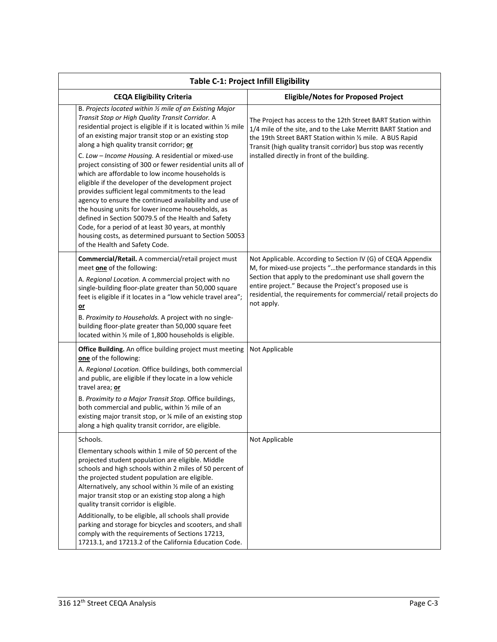| <b>Table C-1: Project Infill Eligibility</b> |                                                                                                                                                                                                                                                                                                                                                                                                                                                                                                                                                                                                                                                                                                                                                                                                                                                                                                        |                                                                                                                                                                                                                                                                                                                                        |  |
|----------------------------------------------|--------------------------------------------------------------------------------------------------------------------------------------------------------------------------------------------------------------------------------------------------------------------------------------------------------------------------------------------------------------------------------------------------------------------------------------------------------------------------------------------------------------------------------------------------------------------------------------------------------------------------------------------------------------------------------------------------------------------------------------------------------------------------------------------------------------------------------------------------------------------------------------------------------|----------------------------------------------------------------------------------------------------------------------------------------------------------------------------------------------------------------------------------------------------------------------------------------------------------------------------------------|--|
| <b>CEQA Eligibility Criteria</b>             |                                                                                                                                                                                                                                                                                                                                                                                                                                                                                                                                                                                                                                                                                                                                                                                                                                                                                                        | <b>Eligible/Notes for Proposed Project</b>                                                                                                                                                                                                                                                                                             |  |
|                                              | B. Projects located within 1/2 mile of an Existing Major<br>Transit Stop or High Quality Transit Corridor. A<br>residential project is eligible if it is located within 1/2 mile<br>of an existing major transit stop or an existing stop<br>along a high quality transit corridor; or<br>C. Low - Income Housing. A residential or mixed-use<br>project consisting of 300 or fewer residential units all of<br>which are affordable to low income households is<br>eligible if the developer of the development project<br>provides sufficient legal commitments to the lead<br>agency to ensure the continued availability and use of<br>the housing units for lower income households, as<br>defined in Section 50079.5 of the Health and Safety<br>Code, for a period of at least 30 years, at monthly<br>housing costs, as determined pursuant to Section 50053<br>of the Health and Safety Code. | The Project has access to the 12th Street BART Station within<br>1/4 mile of the site, and to the Lake Merritt BART Station and<br>the 19th Street BART Station within 1/2 mile. A BUS Rapid<br>Transit (high quality transit corridor) bus stop was recently<br>installed directly in front of the building.                          |  |
|                                              | Commercial/Retail. A commercial/retail project must<br>meet one of the following:<br>A. Regional Location. A commercial project with no<br>single-building floor-plate greater than 50,000 square<br>feet is eligible if it locates in a "low vehicle travel area";<br>$or$<br>B. Proximity to Households. A project with no single-<br>building floor-plate greater than 50,000 square feet<br>located within 1/2 mile of 1,800 households is eligible.                                                                                                                                                                                                                                                                                                                                                                                                                                               | Not Applicable. According to Section IV (G) of CEQA Appendix<br>M, for mixed-use projects "the performance standards in this<br>Section that apply to the predominant use shall govern the<br>entire project." Because the Project's proposed use is<br>residential, the requirements for commercial/ retail projects do<br>not apply. |  |
|                                              | Office Building. An office building project must meeting<br>one of the following:<br>A. Regional Location. Office buildings, both commercial<br>and public, are eligible if they locate in a low vehicle                                                                                                                                                                                                                                                                                                                                                                                                                                                                                                                                                                                                                                                                                               | Not Applicable                                                                                                                                                                                                                                                                                                                         |  |
|                                              | travel area; or<br>B. Proximity to a Major Transit Stop. Office buildings,<br>both commercial and public, within 1/2 mile of an<br>existing major transit stop, or % mile of an existing stop<br>along a high quality transit corridor, are eligible.                                                                                                                                                                                                                                                                                                                                                                                                                                                                                                                                                                                                                                                  |                                                                                                                                                                                                                                                                                                                                        |  |
|                                              | Schools.<br>Elementary schools within 1 mile of 50 percent of the<br>projected student population are eligible. Middle<br>schools and high schools within 2 miles of 50 percent of<br>the projected student population are eligible.<br>Alternatively, any school within 1/2 mile of an existing<br>major transit stop or an existing stop along a high<br>quality transit corridor is eligible.<br>Additionally, to be eligible, all schools shall provide<br>parking and storage for bicycles and scooters, and shall<br>comply with the requirements of Sections 17213,<br>17213.1, and 17213.2 of the California Education Code.                                                                                                                                                                                                                                                                   | Not Applicable                                                                                                                                                                                                                                                                                                                         |  |